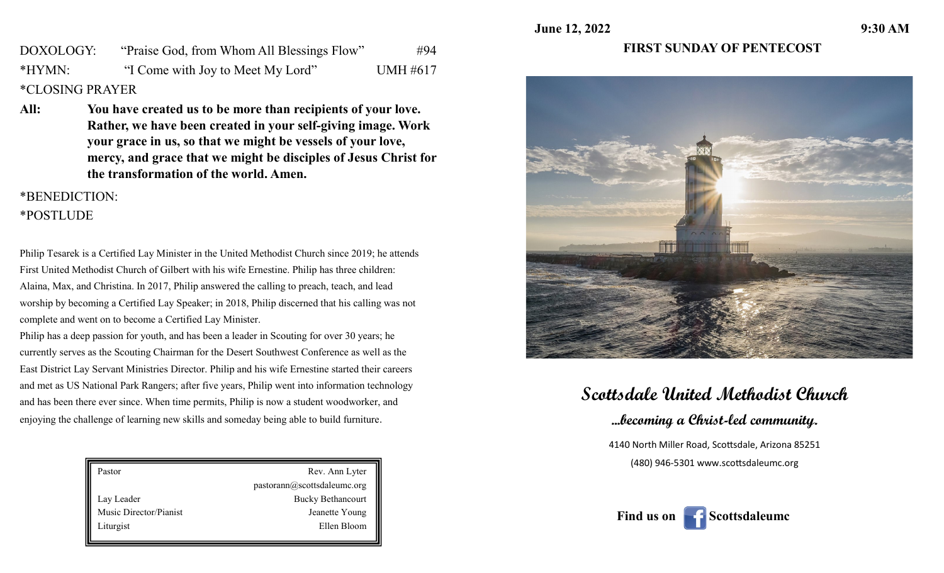**June 12, 2022** 9:30 AM

DOXOLOGY: "Praise God, from Whom All Blessings Flow" #94 \*HYMN: "I Come with Joy to Meet My Lord" UMH #617 \*CLOSING PRAYER

**All: You have created us to be more than recipients of your love. Rather, we have been created in your self-giving image. Work your grace in us, so that we might be vessels of your love, mercy, and grace that we might be disciples of Jesus Christ for the transformation of the world. Amen.**

#### \*BENEDICTION:

### \*POSTLUDE

Philip Tesarek is a Certified Lay Minister in the United Methodist Church since 2019; he attends First United Methodist Church of Gilbert with his wife Ernestine. Philip has three children: Alaina, Max, and Christina. In 2017, Philip answered the calling to preach, teach, and lead worship by becoming a Certified Lay Speaker; in 2018, Philip discerned that his calling was not complete and went on to become a Certified Lay Minister.

Philip has a deep passion for youth, and has been a leader in Scouting for over 30 years; he currently serves as the Scouting Chairman for the Desert Southwest Conference as well as the East District Lay Servant Ministries Director. Philip and his wife Ernestine started their careers and met as US National Park Rangers; after five years, Philip went into information technology and has been there ever since. When time permits, Philip is now a student woodworker, and enjoying the challenge of learning new skills and someday being able to build furniture.

| Pastor                 | Rev. Ann Lyter              |
|------------------------|-----------------------------|
|                        | pastorann@scottsdaleumc.org |
| Lay Leader             | <b>Bucky Bethancourt</b>    |
| Music Director/Pianist | Jeanette Young              |
| Liturgist              | Ellen Bloom                 |
|                        |                             |

## **FIRST SUNDAY OF PENTECOST**



# **Scottsdale United Methodist Church**

**...becoming a Christ-led community.**

4140 North Miller Road, Scottsdale, Arizona 85251 (480) 946-5301 www.scottsdaleumc.org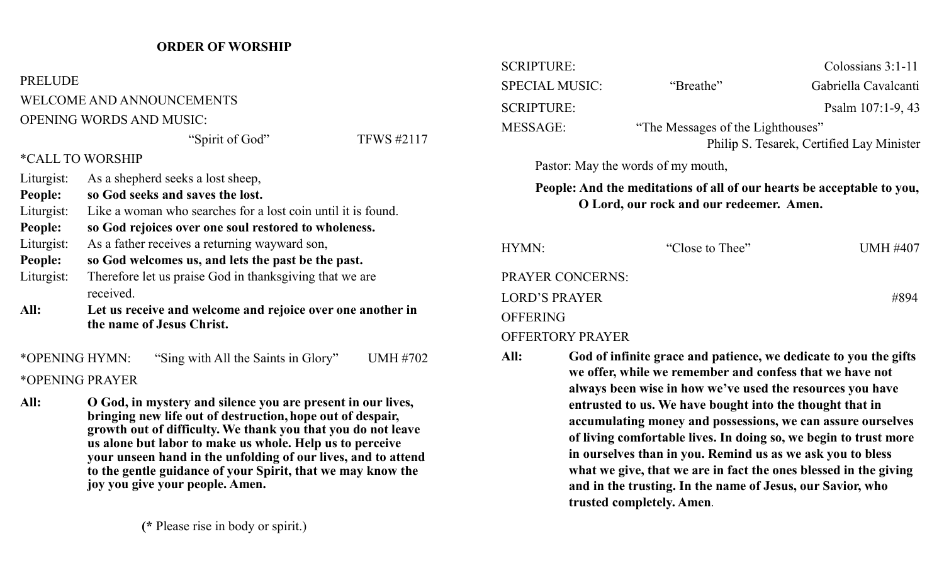#### **ORDER OF WORSHIP**

**PRELUDE** WELCOME AND ANNOUNCEMENTS OPENING WORDS AND MUSIC:

#### "Spirit of God" TFWS #2117

#### \*CALL TO WORSHIP

| Liturgist:<br>People: | As a shepherd seeks a lost sheep,<br>so God seeks and saves the lost.                   |
|-----------------------|-----------------------------------------------------------------------------------------|
| Liturgist:            | Like a woman who searches for a lost coin until it is found.                            |
| People:               | so God rejoices over one soul restored to wholeness.                                    |
| Liturgist:            | As a father receives a returning wayward son,                                           |
| People:               | so God welcomes us, and lets the past be the past.                                      |
| Liturgist:            | Therefore let us praise God in thanks giving that we are<br>received.                   |
| All:                  | Let us receive and welcome and rejoice over one another in<br>the name of Jesus Christ. |

\*OPENING HYMN: "Sing with All the Saints in Glory" UMH #702 \*OPENING PRAYER

**All: O God, in mystery and silence you are present in our lives, bringing new life out of destruction,hope out of despair, growth out of difficulty. We thank you that you do not leave us alone but labor to make us whole. Help us to perceive your unseen hand in the unfolding of our lives, and to attend to the gentle guidance of your Spirit, that we may know the joy you give your people. Amen.**

| <b>SCRIPTURE:</b>     |                                                                       | Colossians $3:1-11$                       |  |
|-----------------------|-----------------------------------------------------------------------|-------------------------------------------|--|
| <b>SPECIAL MUSIC:</b> | "Breathe"                                                             | Gabriella Cavalcanti                      |  |
| <b>SCRIPTURE:</b>     |                                                                       | Psalm 107:1-9, 43                         |  |
| <b>MESSAGE:</b>       | "The Messages of the Lighthouses"                                     |                                           |  |
|                       |                                                                       | Philip S. Tesarek, Certified Lay Minister |  |
|                       | Pastor: May the words of my mouth,                                    |                                           |  |
|                       | Peonle: And the meditations of all of our hearts he accentable to you |                                           |  |

**People: And the meditations of all of our hearts be acceptable to you, O Lord, our rock and our redeemer. Amen.** 

| HYMN:                   | "Close to Thee" | <b>UMH #407</b> |
|-------------------------|-----------------|-----------------|
| <b>PRAYER CONCERNS:</b> |                 |                 |
| <b>LORD'S PRAYER</b>    |                 | #894            |
| <b>OFFERING</b>         |                 |                 |
| <b>OFFERTORY PRAYER</b> |                 |                 |

**All: God of infinite grace and patience, we dedicate to you the gifts we offer, while we remember and confess that we have not always been wise in how we've used the resources you have entrusted to us. We have bought into the thought that in accumulating money and possessions, we can assure ourselves of living comfortable lives. In doing so, we begin to trust more in ourselves than in you. Remind us as we ask you to bless what we give, that we are in fact the ones blessed in the giving and in the trusting. In the name of Jesus, our Savior, who trusted completely. Amen**.